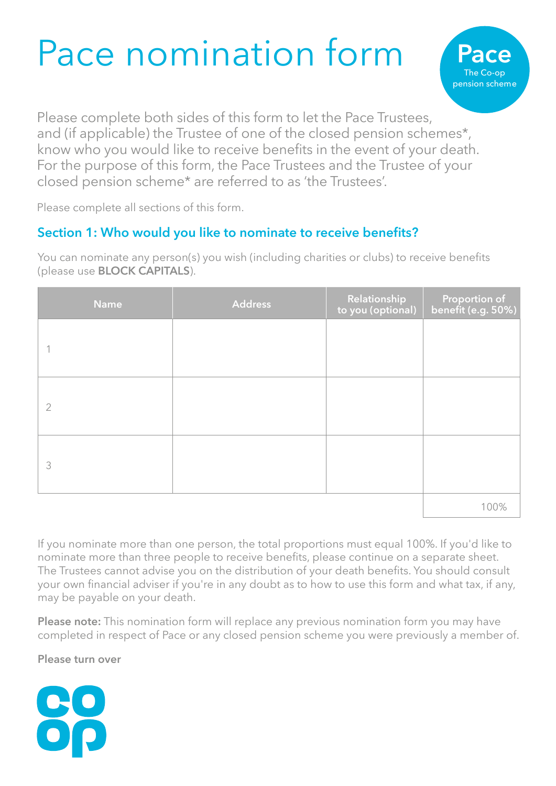## Pace nomination form



Please complete both sides of this form to let the Pace Trustees, and (if applicable) the Trustee of one of the closed pension schemes\*, know who you would like to receive benefits in the event of your death. For the purpose of this form, the Pace Trustees and the Trustee of your closed pension scheme\* are referred to as 'the Trustees'.

Please complete all sections of this form.

## **Section 1: Who would you like to nominate to receive benefits?**

You can nominate any person(s) you wish (including charities or clubs) to receive benefits (please use **BLOCK CAPITALS**).

| <b>Name</b>    | <b>Address</b> | Relationship<br>to you (optional) | Proportion of<br>benefit (e.g. 50%) |
|----------------|----------------|-----------------------------------|-------------------------------------|
|                |                |                                   |                                     |
| $\overline{2}$ |                |                                   |                                     |
| 3              |                |                                   |                                     |
|                |                |                                   | 100%                                |

If you nominate more than one person, the total proportions must equal 100%. If you'd like to nominate more than three people to receive benefits, please continue on a separate sheet. The Trustees cannot advise you on the distribution of your death benefits. You should consult your own financial adviser if you're in any doubt as to how to use this form and what tax, if any, may be payable on your death.

**Please note:** This nomination form will replace any previous nomination form you may have completed in respect of Pace or any closed pension scheme you were previously a member of.

**Please turn over**